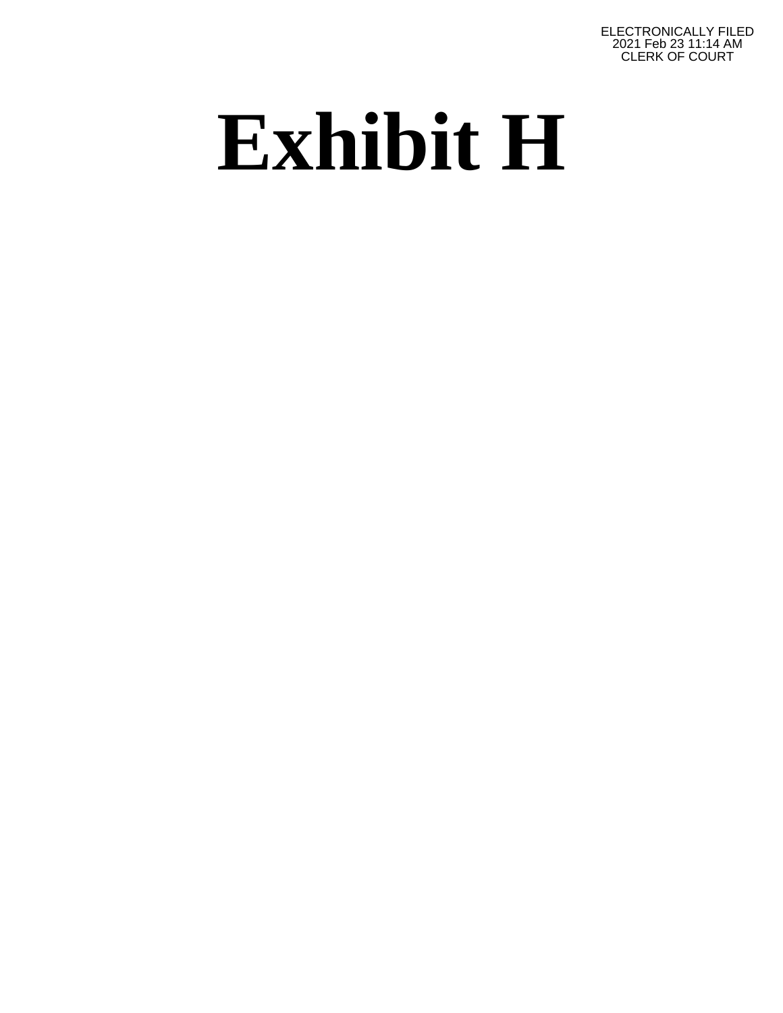ELECTRONICALLY FILED 2021 Feb 23 11:14 AM CLERK OF COURT

# **Exhibit H**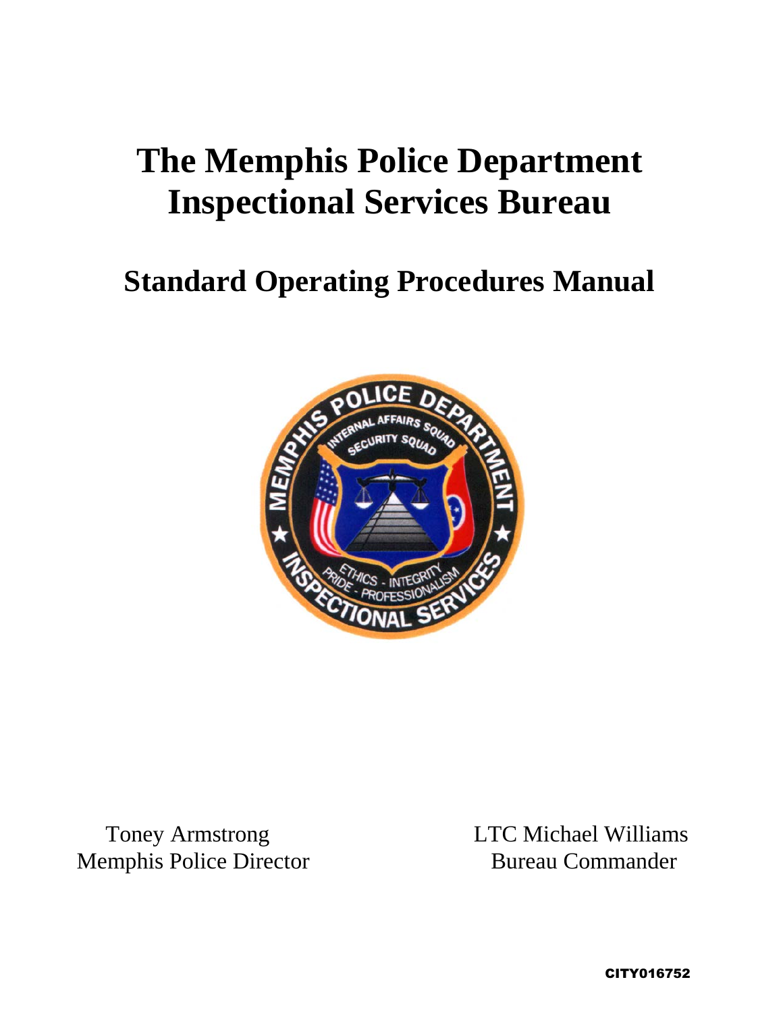## **The Memphis Police Department Inspectional Services Bureau**

### **Standard Operating Procedures Manual**



Memphis Police Director Bureau Commander

Toney Armstrong LTC Michael Williams

CITY016752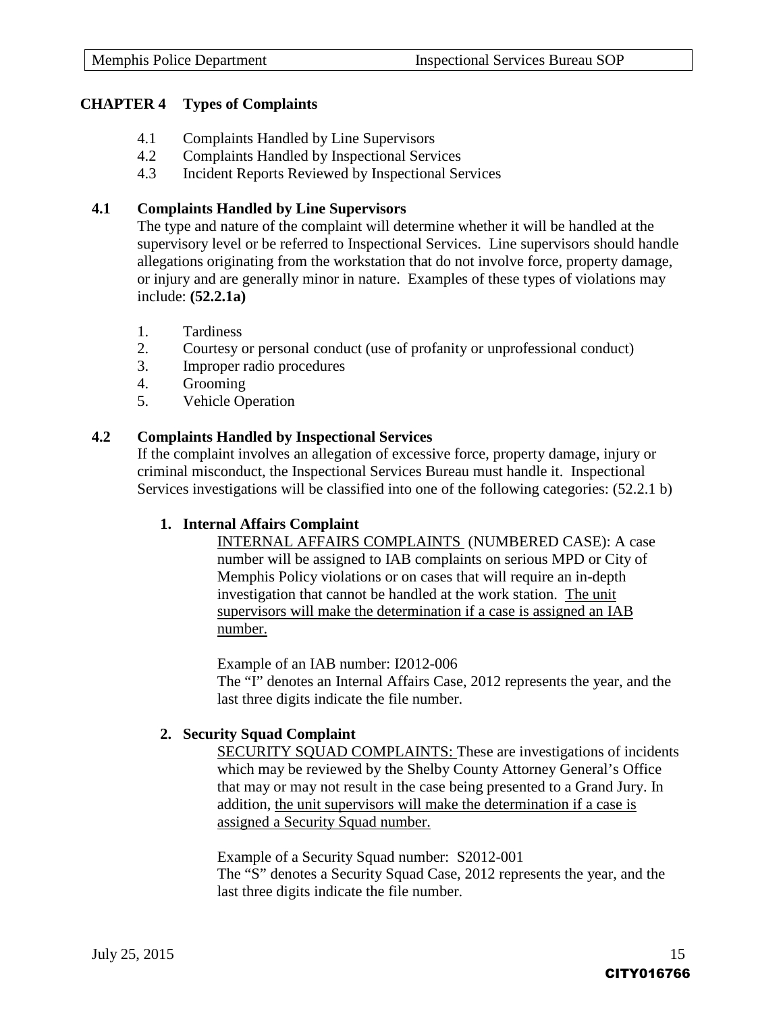#### **CHAPTER 4 Types of Complaints**

- 4.1 Complaints Handled by Line Supervisors
- 4.2 Complaints Handled by Inspectional Services
- 4.3 Incident Reports Reviewed by Inspectional Services

#### **4.1 Complaints Handled by Line Supervisors**

The type and nature of the complaint will determine whether it will be handled at the supervisory level or be referred to Inspectional Services. Line supervisors should handle allegations originating from the workstation that do not involve force, property damage, or injury and are generally minor in nature. Examples of these types of violations may include: **(52.2.1a)**

- 1. Tardiness
- 2. Courtesy or personal conduct (use of profanity or unprofessional conduct)
- 3. Improper radio procedures
- 4. Grooming
- 5. Vehicle Operation

#### **4.2 Complaints Handled by Inspectional Services**

If the complaint involves an allegation of excessive force, property damage, injury or criminal misconduct, the Inspectional Services Bureau must handle it. Inspectional Services investigations will be classified into one of the following categories: (52.2.1 b)

#### **1. Internal Affairs Complaint**

INTERNAL AFFAIRS COMPLAINTS (NUMBERED CASE): A case number will be assigned to IAB complaints on serious MPD or City of Memphis Policy violations or on cases that will require an in-depth investigation that cannot be handled at the work station. The unit supervisors will make the determination if a case is assigned an IAB number.

Example of an IAB number: I2012-006 The "I" denotes an Internal Affairs Case, 2012 represents the year, and the last three digits indicate the file number.

#### **2. Security Squad Complaint**

SECURITY SQUAD COMPLAINTS: These are investigations of incidents which may be reviewed by the Shelby County Attorney General's Office that may or may not result in the case being presented to a Grand Jury. In addition, the unit supervisors will make the determination if a case is assigned a Security Squad number.

Example of a Security Squad number: S2012-001 The "S" denotes a Security Squad Case, 2012 represents the year, and the last three digits indicate the file number.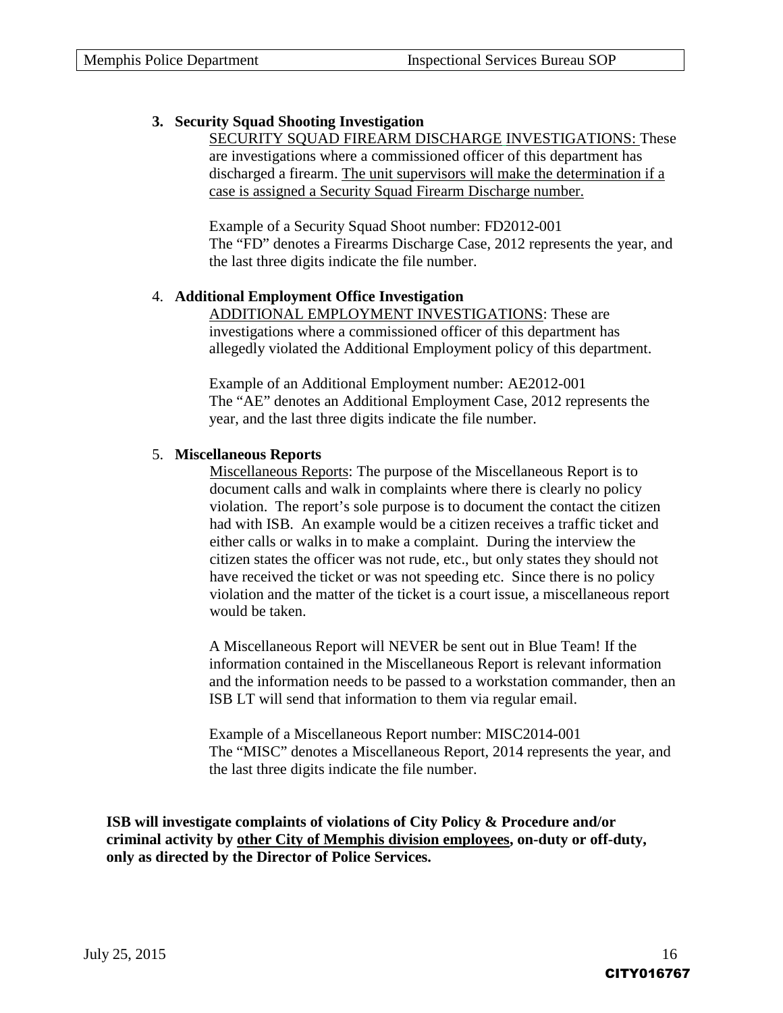#### **3. Security Squad Shooting Investigation**

SECURITY SQUAD FIREARM DISCHARGE INVESTIGATIONS: These are investigations where a commissioned officer of this department has discharged a firearm. The unit supervisors will make the determination if a case is assigned a Security Squad Firearm Discharge number.

Example of a Security Squad Shoot number: FD2012-001 The "FD" denotes a Firearms Discharge Case, 2012 represents the year, and the last three digits indicate the file number.

#### 4. **Additional Employment Office Investigation**

ADDITIONAL EMPLOYMENT INVESTIGATIONS: These are investigations where a commissioned officer of this department has allegedly violated the Additional Employment policy of this department.

Example of an Additional Employment number: AE2012-001 The "AE" denotes an Additional Employment Case, 2012 represents the year, and the last three digits indicate the file number.

#### 5. **Miscellaneous Reports**

Miscellaneous Reports: The purpose of the Miscellaneous Report is to document calls and walk in complaints where there is clearly no policy violation. The report's sole purpose is to document the contact the citizen had with ISB. An example would be a citizen receives a traffic ticket and either calls or walks in to make a complaint. During the interview the citizen states the officer was not rude, etc., but only states they should not have received the ticket or was not speeding etc. Since there is no policy violation and the matter of the ticket is a court issue, a miscellaneous report would be taken.

A Miscellaneous Report will NEVER be sent out in Blue Team! If the information contained in the Miscellaneous Report is relevant information and the information needs to be passed to a workstation commander, then an ISB LT will send that information to them via regular email.

Example of a Miscellaneous Report number: MISC2014-001 The "MISC" denotes a Miscellaneous Report, 2014 represents the year, and the last three digits indicate the file number.

**ISB will investigate complaints of violations of City Policy & Procedure and/or criminal activity by other City of Memphis division employees, on-duty or off-duty, only as directed by the Director of Police Services.**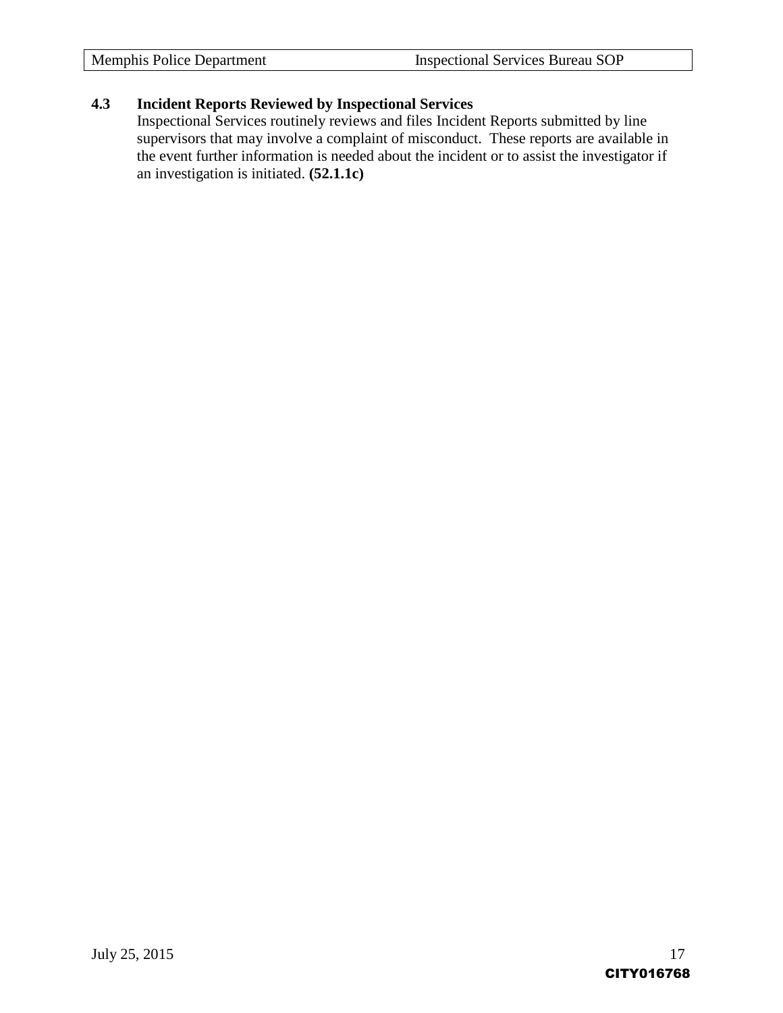#### **4.3 Incident Reports Reviewed by Inspectional Services**

Inspectional Services routinely reviews and files Incident Reports submitted by line supervisors that may involve a complaint of misconduct. These reports are available in the event further information is needed about the incident or to assist the investigator if an investigation is initiated. **(52.1.1c)**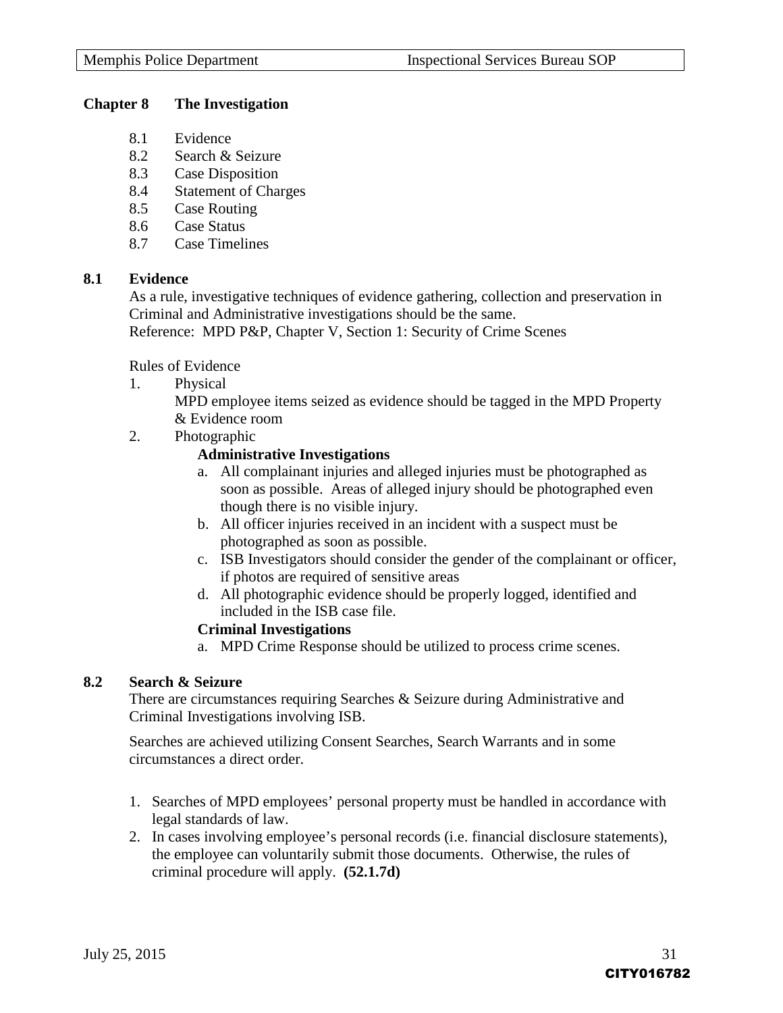#### **Chapter 8 The Investigation**

- 8.1 Evidence
- 8.2 Search & Seizure
- 8.3 Case Disposition
- 8.4 Statement of Charges
- 8.5 Case Routing
- 8.6 Case Status
- 8.7 Case Timelines

#### **8.1 Evidence**

As a rule, investigative techniques of evidence gathering, collection and preservation in Criminal and Administrative investigations should be the same.

Reference: MPD P&P, Chapter V, Section 1: Security of Crime Scenes

Rules of Evidence

1. Physical

MPD employee items seized as evidence should be tagged in the MPD Property & Evidence room

2. Photographic

#### **Administrative Investigations**

- a. All complainant injuries and alleged injuries must be photographed as soon as possible. Areas of alleged injury should be photographed even though there is no visible injury.
- b. All officer injuries received in an incident with a suspect must be photographed as soon as possible.
- c. ISB Investigators should consider the gender of the complainant or officer, if photos are required of sensitive areas
- d. All photographic evidence should be properly logged, identified and included in the ISB case file.

#### **Criminal Investigations**

a. MPD Crime Response should be utilized to process crime scenes.

#### **8.2 Search & Seizure**

There are circumstances requiring Searches & Seizure during Administrative and Criminal Investigations involving ISB.

Searches are achieved utilizing Consent Searches, Search Warrants and in some circumstances a direct order.

- 1. Searches of MPD employees' personal property must be handled in accordance with legal standards of law.
- 2. In cases involving employee's personal records (i.e. financial disclosure statements), the employee can voluntarily submit those documents. Otherwise, the rules of criminal procedure will apply. **(52.1.7d)**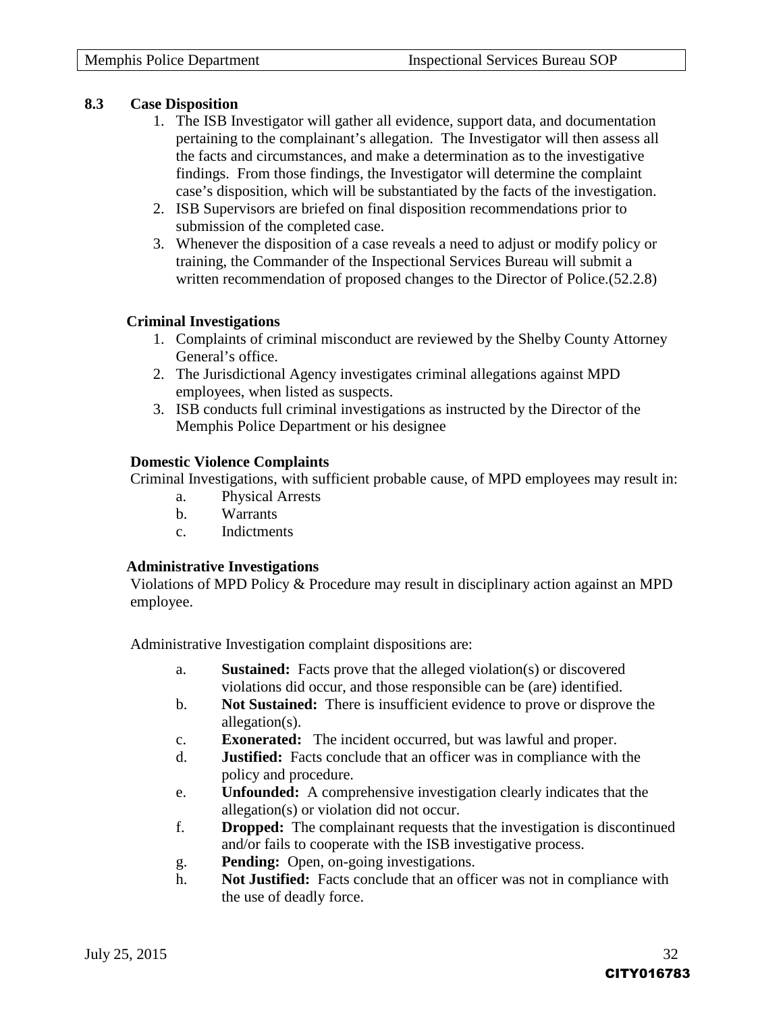#### **8.3 Case Disposition**

- 1. The ISB Investigator will gather all evidence, support data, and documentation pertaining to the complainant's allegation. The Investigator will then assess all the facts and circumstances, and make a determination as to the investigative findings. From those findings, the Investigator will determine the complaint case's disposition, which will be substantiated by the facts of the investigation.
- 2. ISB Supervisors are briefed on final disposition recommendations prior to submission of the completed case.
- 3. Whenever the disposition of a case reveals a need to adjust or modify policy or training, the Commander of the Inspectional Services Bureau will submit a written recommendation of proposed changes to the Director of Police.(52.2.8)

#### **Criminal Investigations**

- 1. Complaints of criminal misconduct are reviewed by the Shelby County Attorney General's office.
- 2. The Jurisdictional Agency investigates criminal allegations against MPD employees, when listed as suspects.
- 3. ISB conducts full criminal investigations as instructed by the Director of the Memphis Police Department or his designee

#### **Domestic Violence Complaints**

Criminal Investigations, with sufficient probable cause, of MPD employees may result in:

- a. Physical Arrests
- b. Warrants
- c. Indictments

#### **Administrative Investigations**

Violations of MPD Policy & Procedure may result in disciplinary action against an MPD employee.

Administrative Investigation complaint dispositions are:

- a. **Sustained:** Facts prove that the alleged violation(s) or discovered violations did occur, and those responsible can be (are) identified.
- b. **Not Sustained:** There is insufficient evidence to prove or disprove the allegation(s).
- c. **Exonerated:** The incident occurred, but was lawful and proper.
- d. **Justified:** Facts conclude that an officer was in compliance with the policy and procedure.
- e. **Unfounded:** A comprehensive investigation clearly indicates that the allegation(s) or violation did not occur.
- f. **Dropped:** The complainant requests that the investigation is discontinued and/or fails to cooperate with the ISB investigative process.
- g. **Pending:** Open, on-going investigations.
- h. **Not Justified:** Facts conclude that an officer was not in compliance with the use of deadly force.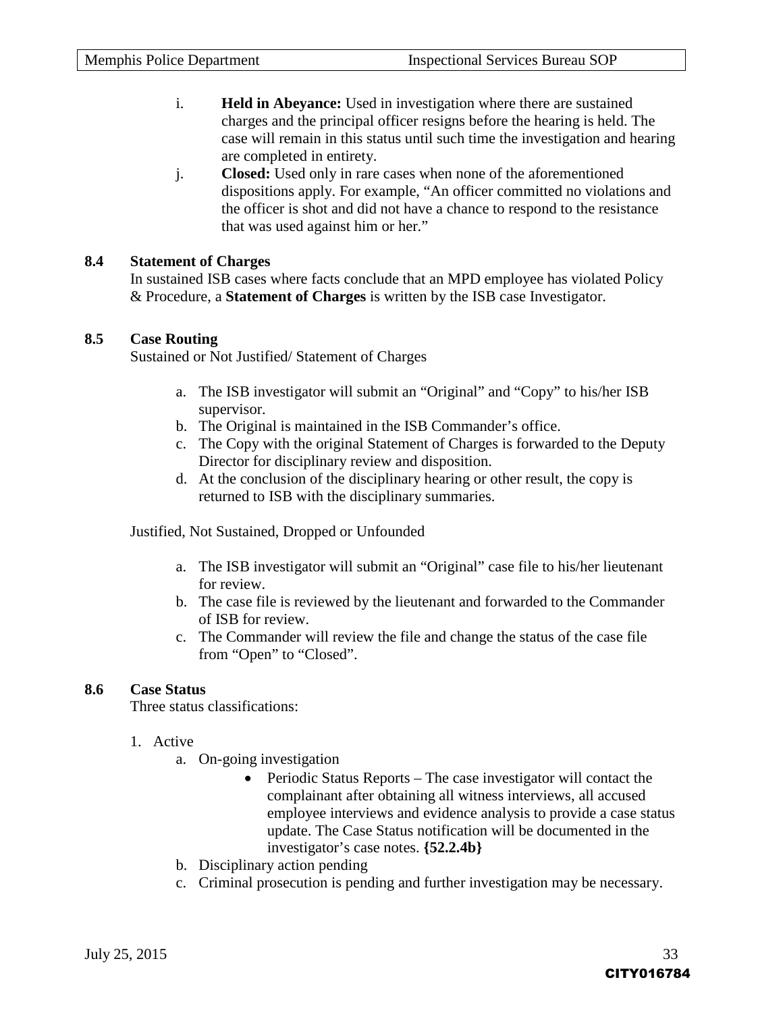- i. **Held in Abeyance:** Used in investigation where there are sustained charges and the principal officer resigns before the hearing is held. The case will remain in this status until such time the investigation and hearing are completed in entirety.
- j. **Closed:** Used only in rare cases when none of the aforementioned dispositions apply. For example, "An officer committed no violations and the officer is shot and did not have a chance to respond to the resistance that was used against him or her."

#### **8.4 Statement of Charges**

In sustained ISB cases where facts conclude that an MPD employee has violated Policy & Procedure, a **Statement of Charges** is written by the ISB case Investigator.

#### **8.5 Case Routing**

Sustained or Not Justified/ Statement of Charges

- a. The ISB investigator will submit an "Original" and "Copy" to his/her ISB supervisor.
- b. The Original is maintained in the ISB Commander's office.
- c. The Copy with the original Statement of Charges is forwarded to the Deputy Director for disciplinary review and disposition.
- d. At the conclusion of the disciplinary hearing or other result, the copy is returned to ISB with the disciplinary summaries.

Justified, Not Sustained, Dropped or Unfounded

- a. The ISB investigator will submit an "Original" case file to his/her lieutenant for review.
- b. The case file is reviewed by the lieutenant and forwarded to the Commander of ISB for review.
- c. The Commander will review the file and change the status of the case file from "Open" to "Closed".

#### **8.6 Case Status**

Three status classifications:

#### 1. Active

- a. On-going investigation
	- Periodic Status Reports The case investigator will contact the complainant after obtaining all witness interviews, all accused employee interviews and evidence analysis to provide a case status update. The Case Status notification will be documented in the investigator's case notes. **{52.2.4b}**
- b. Disciplinary action pending
- c. Criminal prosecution is pending and further investigation may be necessary.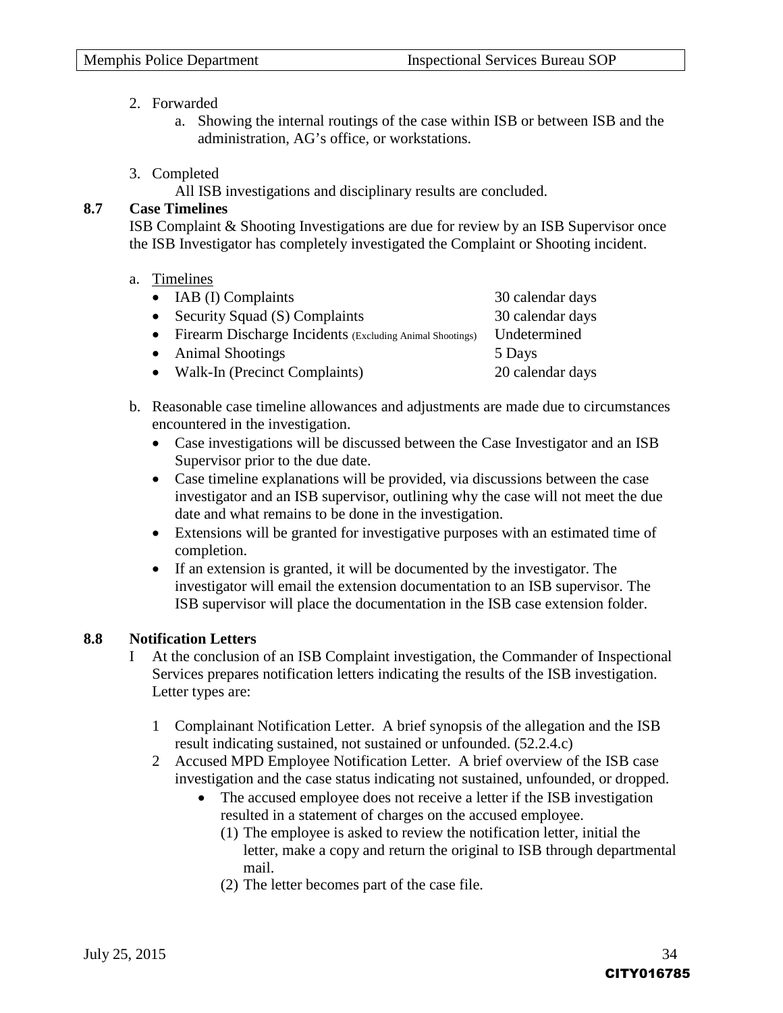#### 2. Forwarded

- a. Showing the internal routings of the case within ISB or between ISB and the administration, AG's office, or workstations.
- 3. Completed

All ISB investigations and disciplinary results are concluded.

#### **8.7 Case Timelines**

ISB Complaint & Shooting Investigations are due for review by an ISB Supervisor once the ISB Investigator has completely investigated the Complaint or Shooting incident.

a. Timelines

| $\bullet$ IAB (I) Complaints                               | 30 calendar days |
|------------------------------------------------------------|------------------|
| • Security Squad $(S)$ Complaints                          | 30 calendar days |
| • Firearm Discharge Incidents (Excluding Animal Shootings) | Undetermined     |
| • Animal Shootings                                         | 5 Days           |
| • Walk-In (Precinct Complaints)                            | 20 calendar days |
|                                                            |                  |

- b. Reasonable case timeline allowances and adjustments are made due to circumstances encountered in the investigation.
	- Case investigations will be discussed between the Case Investigator and an ISB Supervisor prior to the due date.
	- Case timeline explanations will be provided, via discussions between the case investigator and an ISB supervisor, outlining why the case will not meet the due date and what remains to be done in the investigation.
	- Extensions will be granted for investigative purposes with an estimated time of completion.
	- If an extension is granted, it will be documented by the investigator. The investigator will email the extension documentation to an ISB supervisor. The ISB supervisor will place the documentation in the ISB case extension folder.

#### **8.8 Notification Letters**

- I At the conclusion of an ISB Complaint investigation, the Commander of Inspectional Services prepares notification letters indicating the results of the ISB investigation. Letter types are:
	- 1 Complainant Notification Letter. A brief synopsis of the allegation and the ISB result indicating sustained, not sustained or unfounded. (52.2.4.c)
	- 2 Accused MPD Employee Notification Letter. A brief overview of the ISB case investigation and the case status indicating not sustained, unfounded, or dropped.
		- The accused employee does not receive a letter if the ISB investigation resulted in a statement of charges on the accused employee.
			- (1) The employee is asked to review the notification letter, initial the letter, make a copy and return the original to ISB through departmental mail.
			- (2) The letter becomes part of the case file.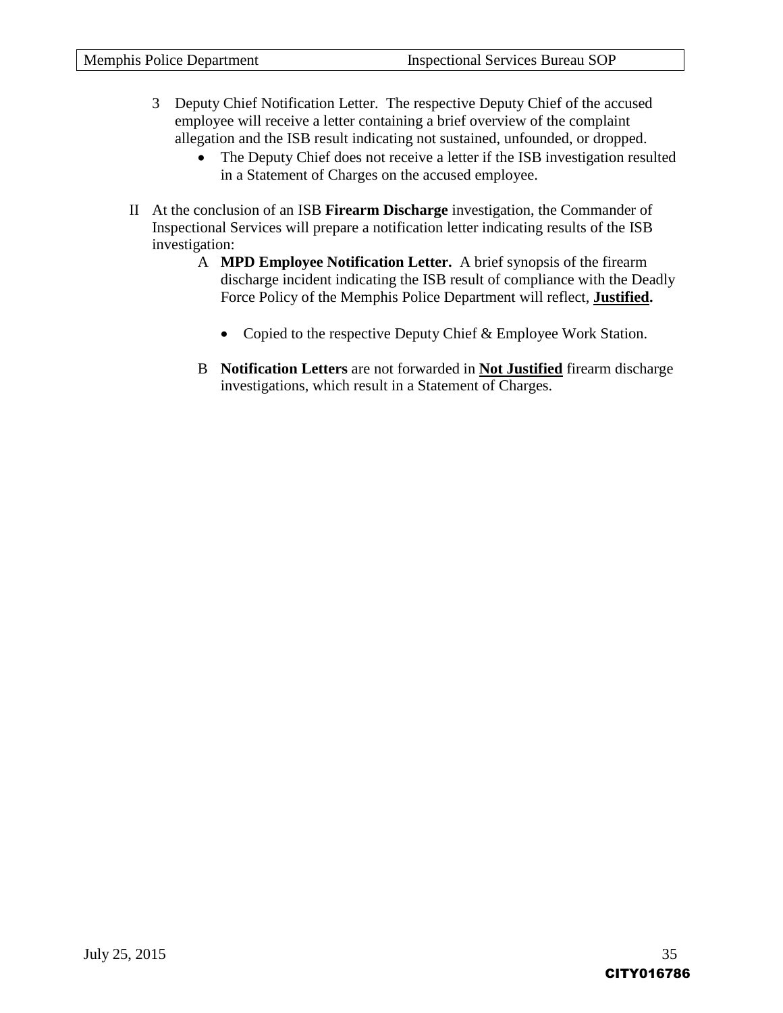- 3 Deputy Chief Notification Letter. The respective Deputy Chief of the accused employee will receive a letter containing a brief overview of the complaint allegation and the ISB result indicating not sustained, unfounded, or dropped.
	- The Deputy Chief does not receive a letter if the ISB investigation resulted in a Statement of Charges on the accused employee.
- II At the conclusion of an ISB **Firearm Discharge** investigation, the Commander of Inspectional Services will prepare a notification letter indicating results of the ISB investigation:
	- A **MPD Employee Notification Letter.** A brief synopsis of the firearm discharge incident indicating the ISB result of compliance with the Deadly Force Policy of the Memphis Police Department will reflect, **Justified.**
		- Copied to the respective Deputy Chief & Employee Work Station.
	- B **Notification Letters** are not forwarded in **Not Justified** firearm discharge investigations, which result in a Statement of Charges.